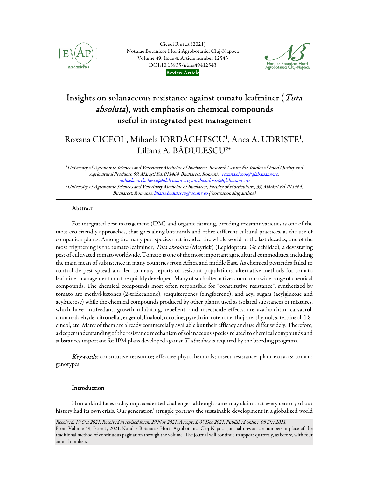

Ciceoi R et al. (2021) [Notulae Botanicae Horti Agrobotanici Cluj-Napoca](https://www.notulaebotanicae.ro/index.php/nbha/index)  Volume 49, Issue 4, Article number 12543 DOI:10.15835/nbha49412543 Review Article



# Insights on solanaceous resistance against tomato leafminer (Tuta absoluta), with emphasis on chemical compounds useful in integrated pest management

# Roxana CICEOI<sup>1</sup>, Mihaela IORDĂCHESCU<sup>1</sup>, Anca A. UDRIȘTE<sup>1</sup>, Liliana A. BĂDULESCU<sup>2\*</sup>

<sup>1</sup>University of Agronomic Sciences and Veterinary Medicine of Bucharest, Research Center for Studies of Food Quality and Agricultural Products, 59, Mărăști Bd. 011464, Bucharest, Romania; roxana.ciceoi@qlab.usamv.ro, mihaela.iordachescu@qlab.usamv.ro, amalia.udriste@qlab.usamv.ro <sup>2</sup>University of Agronomic Sciences and Veterinary Medicine of Bucharest, Faculty of Horticulture, 59, Mărăști Bd. 011464, Bucharest, Romania; liliana.badulescu@usamv.ro (\*corresponding author)

# Abstract

For integrated pest management (IPM) and organic farming, breeding resistant varieties is one of the most eco-friendly approaches, that goes along botanicals and other different cultural practices, as the use of companion plants. Among the many pest species that invaded the whole world in the last decades, one of the most frightening is the tomato leafminer, Tuta absoluta (Meyrick) (Lepidoptera: Gelechiidae), a devastating pest of cultivated tomato worldwide. Tomato is one of the most important agricultural commodities, including the main mean of subsistence in many countries from Africa and middle East. As chemical pesticides failed to control de pest spread and led to many reports of resistant populations, alternative methods for tomato leafminer management must be quickly developed. Many of such alternatives count on a wide range of chemical compounds. The chemical compounds most often responsible for "constitutive resistance", synthetized by tomato are methyl-ketones (2-tridecanone), sesquiterpenes (zingiberene), and acyl sugars (acylglucose and acylsucrose) while the chemical compounds produced by other plants, used as isolated substances or mixtures, which have antifeedant, growth inhibiting, repellent, and insecticide effects, are azadirachtin, carvacrol, cinnamaldehyde, citronellal, eugenol, linalool, nicotine, pyrethrin, rotenone, thujone, thymol, α-terpineol, 1.8 cineol, etc. Many of them are already commercially available but their efficacy and use differ widely. Therefore, a deeper understanding of the resistance mechanism of solanaceous species related to chemical compounds and substances important for IPM plans developed against T. absoluta is required by the breeding programs.

Keywords: constitutive resistance; effective phytochemicals; insect resistance; plant extracts; tomato genotypes

# Introduction

Humankind faces today unprecedented challenges, although some may claim that every century of our history had its own crisis. Our generation' struggle portrays the sustainable development in a globalized world

Received: 19 Oct 2021. Received in revised form: 29 Nov 2021. Accepted: 03 Dec 2021. Published online: 08 Dec 2021. From Volume 49, Issue 1, 2021, Notulae Botanicae Horti Agrobotanici Cluj-Napoca journal uses article numbers in place of the traditional method of continuous pagination through the volume. The journal will continue to appear quarterly, as before, with four annual numbers.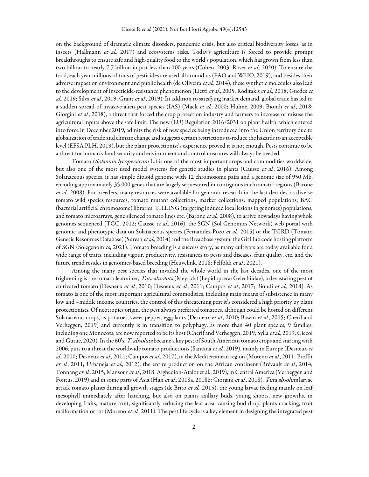on the background of dramatic climate disorders, pandemic crisis, but also critical biodiversity losses, as in insects (Hallmann et al., 2017) and ecosystems risks. Today's agriculture is forced to provide prompt breakthroughs to ensure safe and high-quality food to the world's population, which has grown from less than two billion to nearly 7.7 billion in just less than 100 years (Cohen, 2003; Roser et al., 2020). To ensure the food, each year millions of tons of pesticides are used all around us (FAO and WHO, 2019), and besides their adverse impact on environment and public health (de Oliveira et al., 2014), these synthetic molecules also lead to the development of insecticide-resistance phenomenon (Lietti et al., 2005; Roditakis et al., 2018; Guedes et al., 2019; Silva et al., 2019; Grant et al., 2019). In addition to satisfying market demand, global trade has led to a sudden spread of invasive alien pest species (IAS) (Mack et al., 2000; Hulme, 2009; Biondi et al., 2018; Giorgini *et al.*, 2018), a threat that forced the crop protection industry and farmers to increase or misuse the agricultural inputs above the safe limit. The new (EU) Regulation 2016/2031 on plant health, which entered into force in December 2019, admits the risk of new species being introduced into the Union territory due to globalization of trade and climate change and suggests certain restrictions to reduce the hazards to an acceptable level (EFSA PLH, 2019), but the plant protectionist's experience proved it is not enough. Pests continue to be a threat for human's food security and environment and control measures will always be needed.

Tomato (Solanum lycopersicum L.) is one of the most important crops and commodities worldwide, but also one of the most used model systems for genetic studies in plants (Causse et al., 2016). Among Solanaceous species, it has simple diploid genome with 12 chromosome pairs and a genome size of 950 Mb, encoding approximately 35,000 genes that are largely sequestered in contiguous euchromatic regions (Barone et al., 2008). For breeders, many resources were available for genomic research in the last decades, as diverse tomato wild species resources; tomato mutant collections; marker collections; mapped populations; BAC (bacterial artificial chromosome) libraries; TILLING (targeting induced local lesions in genomes) populations; and tomato microarrays, gene silenced tomato lines etc. (Barone et al., 2008), to arrive nowadays having whole genomes sequenced (TGC, 2012; Causse *et al.*, 2016), the SGN (Sol Genomics Network) web portal with genomic and phenotypic data on Solanaceous species (Fernandez-Pozo et al., 2015) or the TGRD (Tomato Genetic Resources Database) (Suresh *et al.*, 2014) and the Breadbase system, the GitHub code hosting platform of SGN (Solegenomics, 2021). Tomato breeding is a success story, as many cultivars are today available for a wide range of traits, including vigour, productivity, resistances to pests and diseases, fruit quality, etc. and the future trend resides in genomics-based breeding (Heuvelink, 2018; Felföldi et al., 2021).

Among the many pest species that invaded the whole world in the last decades, one of the most frightening is the tomato leafminer, Tuta absoluta (Meyrick) (Lepidoptera: Gelechiidae), a devastating pest of cultivated tomato (Desneux et al., 2010; Desneux et al., 2011; Campos et al., 2017; Biondi et al., 2018). As tomato is one of the most important agricultural commodities, including main means of subsistence in many low and –middle income countries, the control of this threatening pest it's considered a high priority by plant protectionists. Of neotropics origin, the pest always preferred tomatoes, although could be hosted on different Solanaceous crops, as potatoes, sweet pepper, eggplants (Desneux et al., 2010; Bawin et al., 2015; Cherif and Verheggen, 2019) and currently is in transition to polyphagy, as more than 40 plant species, 9 families, including one Monocots, are now reported to be its host (Cherif and Verheggen, 2019; Sylla et al., 2019; Ciceoi and Gutue, 2020). In the 60's, T. absoluta became a key pest of South American tomato crops and starting with 2006, puts to a threat the worldwide tomato productions (Santana et al., 2019), mainly in Europe (Desneux et al., 2010; Desneux et al., 2011; Campos et al., 2017), in the Mediterranean region (Moreno et al., 2011; Proffit et al., 2011; Urbaneja et al., 2012), the entire production on the African continent (Brévault et al., 2014; Tonnang et al., 2015; Mansour et al., 2018; Aigbedion-Atalor et al., 2019), in Central America (Verheggen and Fontus, 2019) and in some parts of Asia (Han et al., 2018a, 2018b; Giorgini et al., 2018). Tuta absoluta larvae attack tomato plants during all growth stages (de Brito et al., 2015), the young larvae feeding mainly on leaf mesophyll immediately after hatching, but also on plants axillary buds, young shoots, new growths, in developing fruits, mature fruit, significantly reducing the leaf area, causing bud drop, plants cracking, fruit malformation or rot (Moreno *et al.*, 2011). The pest life cycle is a key element in designing the integrated pest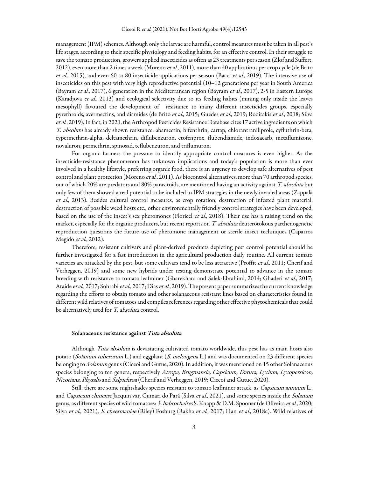management (IPM) schemes. Although only the larvae are harmful, control measures must be taken in all pest's life stages, according to their specific physiology and feeding habits, for an effective control. In their struggle to save the tomato production, growers applied insecticides as often as 23 treatments per season (Zlof and Suffert, 2012), even more than 2 times a week (Moreno *et al.*, 2011), more than 40 applications per crop cycle (de Brito et al., 2015), and even 60 to 80 insecticide applications per season (Bacci et al., 2019). The intensive use of insecticides on this pest with very high reproductive potential (10–12 generations per year in South America (Bayram et al., 2017), 6 generation in the Mediterranean region (Bayram et al., 2017), 2-5 in Eastern Europe (Karadjova et al., 2013) and ecological selectivity due to its feeding habits (mining only inside the leaves mesophyll) favoured the development of resistance to many different insecticides groups, especially pyrethroids, avermectins, and diamides (de Brito et al., 2015; Guedes et al., 2019; Roditakis et al., 2018; Silva et al., 2019). In fact, in 2021, the Arthropod Pesticides Resistance Database cites 17 active ingredients on which T. absoluta has already shown resistance: abamectin, bifenthrin, cartap, chlorantraniliprole, cyfluthrin-beta, cypermethrin-alpha, deltamethrin, diflubenzuron, etofenprox, flubendiamide, indoxacarb, metaflumizone, novaluron, permethrin, spinosad, teflubenzuron, and triflumuron.

For organic farmers the pressure to identify appropriate control measures is even higher. As the insecticide-resistance phenomenon has unknown implications and today's population is more than ever involved in a healthy lifestyle, preferring organic food, there is an urgency to develop safe alternatives of pest control and plant protection (Moreno et al., 2011). As biocontrol alternatives, more than 70 arthropod species, out of which 20% are predators and 80% parasitoids, are mentioned having an activity against T. absoluta but only few of them showed a real potential to be included in IPM strategies in the newly invaded areas (Zappalà et al., 2013). Besides cultural control measures, as crop rotation, destruction of infested plant material, destruction of possible weed hosts etc., other environmentally friendly control strategies have been developed, based on the use of the insect's sex pheromones (Floricel et al., 2018). Their use has a raising trend on the market, especially for the organic producers, but recent reports on T. absoluta deuterotokous parthenogenetic reproduction questions the future use of pheromone management or sterile insect techniques (Caparros Megido et al., 2012).

Therefore, resistant cultivars and plant-derived products depicting pest control potential should be further investigated for a fast introduction in the agricultural production daily routine. All current tomato varieties are attacked by the pest, but some cultivars tend to be less attractive (Proffit et al., 2011; Cherif and Verheggen, 2019) and some new hybrids under testing demonstrate potential to advance in the tomato breeding with resistance to tomato leafminer (Gharekhani and Salek-Ebrahimi, 2014; Ghaderi et al., 2017; Ataide et al., 2017; Sohrabi et al., 2017; Dias et al., 2019). The present paper summarizes the current knowledge regarding the efforts to obtain tomato and other solanaceous resistant lines based on characteristics found in different wild relatives of tomatoes and compiles references regarding other effective phytochemicals that could be alternatively used for T. absoluta control.

#### Solanaceous resistance against Tuta absoluta

Although Tuta absoluta is devastating cultivated tomato worldwide, this pest has as main hosts also potato (Solanum tuberosum L.) and eggplant (S. melongena L.) and was documented on 23 different species belonging to Solanum genus (Ciceoi and Gutue, 2020). In addition, it was mentioned on 15 other Solanaceous species belonging to ten genera, respectively Atropa, Brugmansia, Capsicum, Datura, Lycium, Lycopersicon, Nicotiana, Physalis and Salpichroa (Cherif and Verheggen, 2019; Ciceoi and Gutue, 2020).

Still, there are some nightshades species resistant to tomato leafminer attack, as *Capsicum annuum* L., and *Capsicum chinense* Jacquin var. Cumari do Pará (Silva *et al.*, 2021), and some species inside the *Solanum* genus, as different species of wild tomatoes: S. habrochaites S. Knapp & D.M. Spooner (de Oliveira et al., 2020; Silva et al., 2021), S. cheesmaniae (Riley) Fosburg (Rakha et al., 2017; Han et al., 2018c). Wild relatives of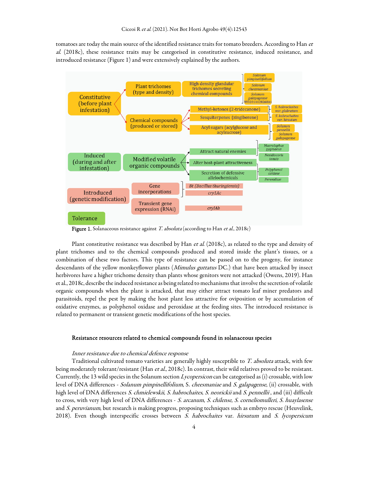tomatoes are today the main source of the identified resistance traits for tomato breeders. According to Han et al. (2018c), these resistance traits may be categorised in constitutive resistance, induced resistance, and introduced resistance (Figure 1) and were extensively explained by the authors.



Figure 1. Solanaceous resistance against T. absoluta (according to Han et al., 2018c)

Plant constitutive resistance was described by Han et al. (2018c), as related to the type and density of plant trichomes and to the chemical compounds produced and stored inside the plant's tissues, or a combination of these two factors. This type of resistance can be passed on to the progeny, for instance descendants of the yellow monkeyflower plants (Mimulus guttatus DC.) that have been attacked by insect herbivores have a higher trichome density than plants whose genitors were not attacked (Owens, 2019). Han et al., 2018c, describe the induced resistance as being related to mechanisms that involve the secretion of volatile organic compounds when the plant is attacked, that may either attract tomato leaf miner predators and parasitoids, repel the pest by making the host plant less attractive for oviposition or by accumulation of oxidative enzymes, as polyphenol oxidase and peroxidase at the feeding sites. The introduced resistance is related to permanent or transient genetic modifications of the host species.

#### Resistance resources related to chemical compounds found in solanaceous species

### Inner resistance due to chemical defence response

Traditional cultivated tomato varieties are generally highly susceptible to T. absoluta attack, with few being moderately tolerant/resistant (Han et al., 2018c). In contrast, their wild relatives proved to be resistant. Currently, the 13 wild species in the Solanum section *Lycopersicon* can be categorised as (i) crossable, with low level of DNA differences - Solanum pimpinellifolium, S. cheesmaniae and S. galapagense, (ii) crossable, with high level of DNA differences *S. chmielewskii, S. habrochaites, S. neorickii* and *S. pennellii*, and (iii) difficult to cross, with very high level of DNA differences - S. arcanum, S. chilense, S. corneliomulleri, S. huaylasense and *S. peruvianum*, but research is making progress, proposing techniques such as embryo rescue (Heuvelink, 2018). Even though interspecific crosses between S. habrochaites var. hirsutum and S. lycopersicum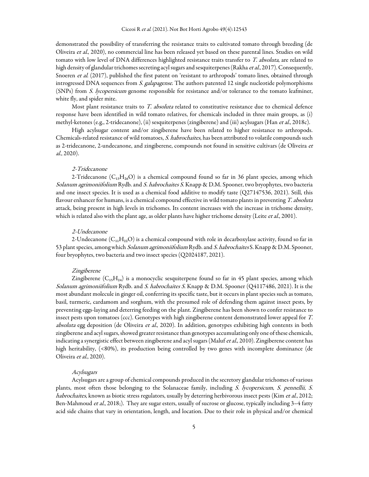demonstrated the possibility of transferring the resistance traits to cultivated tomato through breeding (de Oliveira et al., 2020), no commercial line has been released yet based on these parental lines. Studies on wild tomato with low level of DNA differences highlighted resistance traits transfer to T. absoluta, are related to high density of glandular trichomes secreting acyl sugars and sesquiterpenes (Rakha et al., 2017). Consequently, Snoeren et al. (2017), published the first patent on 'resistant to arthropods' tomato lines, obtained through introgressed DNA sequences from *S. galapagense*. The authors patented 12 single nucleotide polymorphisms (SNPs) from S. lycopersicum genome responsible for resistance and/or tolerance to the tomato leafminer, white fly, and spider mite.

Most plant resistance traits to *T. absoluta* related to constitutive resistance due to chemical defence response have been identified in wild tomato relatives, for chemicals included in three main groups, as (i) methyl-ketones (e.g., 2-tridecanone), (ii) sesquiterpenes (zingiberene) and (iii) acylsugars (Han et al., 2018c).

High acylsugar content and/or zingiberene have been related to higher resistance to arthropods. Chemicals-related resistance of wild tomatoes, S. habrochaites, has been attributed to volatile compounds such as 2-tridecanone, 2-undecanone, and zingiberene, compounds not found in sensitive cultivars (de Oliveira et al., 2020).

### 2-Tridecanone

2-Tridecanone  $(C_{13}H_{26}O)$  is a chemical compound found so far in 36 plant species, among which Solanum agrimoniifolium Rydb. and S. habrochaites S. Knapp & D.M. Spooner, two bryophytes, two bacteria and one insect species. It is used as a chemical food additive to modify taste (Q27147536, 2021). Still, this flavour enhancer for humans, is a chemical compound effective in wild tomato plants in preventing T. absoluta attack, being present in high levels in trichomes. Its content increases with the increase in trichome density, which is related also with the plant age, as older plants have higher trichome density (Leite et al., 2001).

#### 2-Undecanone

2-Undecanone  $(C_{11}H_{22}O)$  is a chemical compound with role in decarboxylase activity, found so far in 53 plant species, among which Solanum agrimoniifolium Rydb. and S. habrochaites S. Knapp & D.M. Spooner, four bryophytes, two bacteria and two insect species (Q2024187, 2021).

#### Zingiberene

Zingiberene  $(C_{15}H_{24})$  is a monocyclic sesquiterpene found so far in 45 plant species, among which Solanum agrimoniifolium Rydb. and S. habrochaites S. Knapp & D.M. Spooner (Q4117486, 2021). It is the most abundant molecule in ginger oil, conferring its specific taste, but it occurs in plant species such as tomato, basil, turmeric, cardamom and sorghum, with the presumed role of defending them against insect pests, by preventing eggs-laying and deterring feeding on the plant. Zingiberene has been shown to confer resistance to insect pests upon tomatoes (ccc). Genotypes with high zingiberene content demonstrated lower appeal for T. absoluta egg deposition (de Oliveira et al., 2020). In addition, genotypes exhibiting high contents in both zingiberene and acyl sugars, showed greater resistance than genotypes accumulating only one of these chemicals, indicating a synergistic effect between zingiberene and acyl sugars (Maluf et al., 2010). Zingiberene content has high heritability, (<80%), its production being controlled by two genes with incomplete dominance (de Oliveira et al., 2020).

#### Acylsugars

Acylsugars are a group of chemical compounds produced in the secretory glandular trichomes of various plants, most often those belonging to the Solanaceae family, including S. lycopersicum, S. pennellii, S. habrochaites, known as biotic stress regulators, usually by deterring herbivorous insect pests (Kim et al., 2012; Ben-Mahmoud et al., 2018;). They are sugar esters, usually of sucrose or glucose, typically including 3-4 fatty acid side chains that vary in orientation, length, and location. Due to their role in physical and/or chemical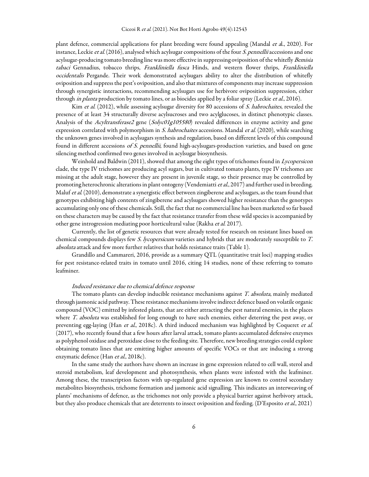plant defence, commercial applications for plant breeding were found appealing (Mandal et al., 2020). For instance, Leckie *et al.* (2016), analysed which acylsugar compositions of the four *S. pennellii* accessions and one acylsugar-producing tomato breeding line was more effective in suppressing oviposition of the whitefly Bemisia tabaci Gennadius, tobacco thrips, Frankliniella fusca Hinds, and western flower thrips, Frankliniella occidentalis Pergande. Their work demonstrated acylsugars ability to alter the distribution of whitefly oviposition and suppress the pest's oviposition, and also that mixtures of components may increase suppression through synergistic interactions, recommending acylsugars use for herbivore oviposition suppression, either through in planta production by tomato lines, or as biocides applied by a foliar spray (Leckie et al., 2016).

Kim et al. (2012), while assessing acylsugar diversity for 80 accessions of *S. habrochaites*, revealed the presence of at least 34 structurally diverse acylsucroses and two acylglucoses, in distinct phenotypic classes. Analysis of the Acyltransferase2 gene (Solyc01g105580) revealed differences in enzyme activity and gene expression correlated with polymorphism in S. habrochaites accessions. Mandal et al. (2020), while searching the unknown genes involved in acylsugars synthesis and regulation, based on different levels of this compound found in different accessions of S. pennellii, found high-acylsugars-production varieties, and based on gene silencing method confirmed two genes involved in acylsugar biosynthesis.

Weinhold and Baldwin (2011), showed that among the eight types of trichomes found in Lycopersicon clade, the type IV trichomes are producing acyl sugars, but in cultivated tomato plants, type IV trichomes are missing at the adult stage, however they are present in juvenile stage, so their presence may be controlled by promoting heterochronic alterations in plant ontogeny (Vendemiatti et al., 2017) and further used in breeding. Maluf et al. (2010), demonstrate a synergistic effect between zingiberene and acylsugars, as the team found that genotypes exhibiting high contents of zingiberene and acylsugars showed higher resistance than the genotypes accumulating only one of these chemicals. Still, the fact that no commercial line has been marketed so far based on these characters may be caused by the fact that resistance transfer from these wild species is accompanied by other gene introgression mediating poor horticultural value (Rakha et al. 2017).

Currently, the list of genetic resources that were already tested for research on resistant lines based on chemical compounds displays few S. lycopersicum varieties and hybrids that are moderately susceptible to T. absoluta attack and few more further relatives that holds resistance traits (Table 1).

Grandillo and Cammareri, 2016, provide as a summary QTL (quantitative trait loci) mapping studies for pest resistance-related traits in tomato until 2016, citing 14 studies, none of these referring to tomato leafminer.

#### Induced resistance due to chemical defence response

The tomato plants can develop inducible resistance mechanisms against T. absoluta, mainly mediated through jasmonic acid pathway. These resistance mechanisms involve indirect defence based on volatile organic compound (VOC) emitted by infested plants, that are either attracting the pest natural enemies, in the places where T. absoluta was established for long enough to have such enemies, either deterring the pest away, or preventing egg-laying (Han et al., 2018c). A third induced mechanism was highlighted by Coqueret et al. (2017), who recently found that a few hours after larval attack, tomato plants accumulated defensive enzymes as polyphenol oxidase and peroxidase close to the feeding site. Therefore, new breeding strategies could explore obtaining tomato lines that are emitting higher amounts of specific VOCs or that are inducing a strong enzymatic defence (Han et al., 2018c).

In the same study the authors have shown an increase in gene expression related to cell wall, sterol and steroid metabolism, leaf development and photosynthesis, when plants were infested with the leafminer. Among these, the transcription factors with up-regulated gene expression are known to control secondary metabolites biosynthesis, trichome formation and jasmonic acid signalling. This indicates an interweaving of plants' mechanisms of defence, as the trichomes not only provide a physical barrier against herbivory attack, but they also produce chemicals that are deterrents to insect oviposition and feeding. (D'Esposito et al., 2021)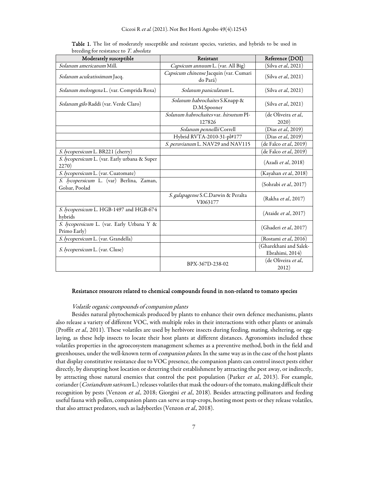| Moderately susceptible                                     | Resistant                                          | Reference (DOI)                           |
|------------------------------------------------------------|----------------------------------------------------|-------------------------------------------|
| Solanum americanum Mill.                                   | Capsicum annuum L. (var. All Big)                  | (Silva et al., 2021)                      |
| Solanum aculeatissimum Jacq.                               | Capsicum chinense Jacquin (var. Cumari<br>do Pará) | (Silva et al., 2021)                      |
| Solanum melongena L. (var. Comprida Roxa)                  | Solanum paniculatum L.                             | (Silva et al., 2021)                      |
| Solanum gilo Raddi (var. Verde Claro)                      | Solanum habrochaites S.Knapp &<br>D.M.Spooner      | (Silva et al., 2021)                      |
|                                                            | Solanum habrochaites var. hirsutum PI-<br>127826   | (de Oliveira et al.,<br>2020)             |
|                                                            | Solanum pennellii Correll                          | (Dias et al., 2019)                       |
|                                                            | Hybrid RVTA-2010-31-pl#177                         | (Dias <i>et al.</i> , 2019)               |
|                                                            | S. peruvianum L. NAV29 and NAV115                  | (de Falco et al., 2019)                   |
| S. lycopersicum L. BR221 (cherry)                          |                                                    | (de Falco <i>et al</i> ., 2019)           |
| S. lycopersicum L. (var. Early urbana & Super<br>2270)     |                                                    | (Azadi et al., 2018)                      |
| S. lycopersicum L. (var. Cuatomate)                        |                                                    | (Kayahan et al., 2018)                    |
| S. lycopersicum L. (var) Berlina, Zaman,<br>Golsar, Poolad |                                                    | (Sohrabi et al., 2017)                    |
|                                                            | S. galapagense S.C.Darwin & Peralta<br>VI063177    | (Rakha et al., 2017)                      |
| S. lycopersicum L. HGB-1497 and HGB-674<br>hybrids         |                                                    | (Ataide et al., 2017)                     |
| S. lycopersicum L. (var. Early Urbana Y &<br>Primo Early)  |                                                    | (Ghaderi et al., 2017)                    |
| S. lycopersicum L. (var. Grandella)                        |                                                    | (Rostami et al., 2016)                    |
| S. lycopersicum L. (var. Cluse)                            |                                                    | (Gharekhani and Salek-<br>Ebrahimi, 2014) |
|                                                            | BPX-367D-238-02                                    | (de Oliveira <i>et al</i> .,<br>2012)     |

Table 1. The list of moderately susceptible and resistant species, varieties, and hybrids to be used in breeding for resistance to T. absoluta

## Resistance resources related to chemical compounds found in non-related to tomato species

#### Volatile organic compounds of companion plants

Besides natural phytochemicals produced by plants to enhance their own defence mechanisms, plants also release a variety of different VOC, with multiple roles in their interactions with other plants or animals (Proffit et al., 2011). These volatiles are used by herbivore insects during feeding, mating, sheltering, or egglaying, as these help insects to locate their host plants at different distances. Agronomists included these volatiles properties in the agroecosystem management schemes as a preventive method, both in the field and greenhouses, under the well-known term of *companion plants*. In the same way as in the case of the host plants that display constitutive resistance due to VOC presence, the companion plants can control insect pests either directly, by disrupting host location or deterring their establishment by attracting the pest away, or indirectly, by attracting those natural enemies that control the pest population (Parker et al., 2013). For example, coriander (Coriandrum sativum L.) releases volatiles that mask the odours of the tomato, making difficult their recognition by pests (Venzon et al., 2018; Giorgini et al., 2018). Besides attracting pollinators and feeding useful fauna with pollen, companion plants can serve as trap-crops, hosting most pests or they release volatiles, that also attract predators, such as ladybeetles (Venzon et al., 2018).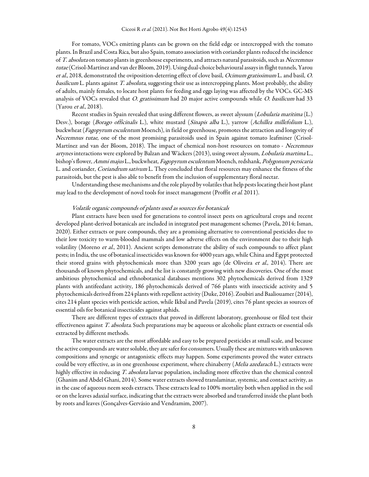For tomato, VOCs emitting plants can be grown on the field edge or intercropped with the tomato plants. In Brazil and Costa Rica, but also Spain, tomato association with coriander plants reduced the incidence of T. absoluta on tomato plants in greenhouse experiments, and attracts natural parasitoids, such as Necremnus tutae (Crisol-Martínez and van der Bloom, 2019). Using dual-choice behavioural assays in flight tunnels, Yarou et al., 2018, demonstrated the oviposition-deterring effect of clove basil, Ocimum gratissimum L. and basil, O. basilicum L. plants against T. absoluta, suggesting their use as intercropping plants. Most probably, the ability of adults, mainly females, to locate host plants for feeding and eggs laying was affected by the VOCs. GC-MS analysis of VOCs revealed that O. gratissimum had 20 major active compounds while O. basilicum had 33 (Yarou et al., 2018).

Recent studies in Spain revealed that using different flowers, as sweet alyssum (Lobularia maritima (L.) Desv.), borage (Borago officinalis L.), white mustard (Sinapis alba L.), yarrow (Achillea millefolium L.), buckwheat (Fagopyrum esculentum Moench), in field or greenhouse, promotes the attraction and longevity of Necremnus tutae, one of the most promising parasitoids used in Spain against tomato leafminer (Crisol-Martínez and van der Bloom, 2018). The impact of chemical non-host resources on tomato - Necremnus artynes interactions were explored by Balzan and Wäckers (2013), using sweet alyssum, *Lobularia martima* L., bishop's flower, Ammi majus L., buckwheat, Fagopyrum esculentum Moench, redshank, Polygonum persicaria L. and coriander, *Coriandrum sativum* L. They concluded that floral resources may enhance the fitness of the parasitoids, but the pest is also able to benefit from the inclusion of supplementary floral nectar.

Understanding these mechanisms and the role played by volatiles that help pests locating their host plant may lead to the development of novel tools for insect management (Proffit et al. 2011).

#### Volatile organic compounds of plants used as sources for botanicals

Plant extracts have been used for generations to control insect pests on agricultural crops and recent developed plant-derived botanicals are included in integrated pest management schemes (Pavela, 2014; Isman, 2020). Either extracts or pure compounds, they are a promising alternative to conventional pesticides due to their low toxicity to warm-blooded mammals and low adverse effects on the environment due to their high volatility (Moreno et al., 2011). Ancient scripts demonstrate the ability of such compounds to affect plant pests; in India, the use of botanical insecticides was known for 4000 years ago, while China and Egypt protected their stored grains with phytochemicals more than 3200 years ago (de Oliveira et al., 2014). There are thousands of known phytochemicals, and the list is constantly growing with new discoveries. One of the most ambitious phytochemical and ethnobotanical databases mentions 302 phytochemicals derived from 1329 plants with antifeedant activity, 186 phytochemicals derived of 766 plants with insecticide activity and 5 phytochemicals derived from 224 plants with repellent activity (Duke, 2016). Zoubiri and Baaliouamer (2014), cites 214 plant species with pesticide action, while Ikbal and Pavela (2019), cites 76 plant species as sources of essential oils for botanical insecticides against aphids.

There are different types of extracts that proved in different laboratory, greenhouse or filed test their effectiveness against T. absoluta. Such preparations may be aqueous or alcoholic plant extracts or essential oils extracted by different methods.

The water extracts are the most affordable and easy to be prepared pesticides at small scale, and because the active compounds are water soluble, they are safer for consumers. Usually these are mixtures with unknown compositions and synergic or antagonistic effects may happen. Some experiments proved the water extracts could be very effective, as in one greenhouse experiment, where chinaberry (Melia azedarach L.) extracts were highly effective in reducing T. absoluta larvae population, including more effective than the chemical control (Ghanim and Abdel Ghani, 2014). Some water extracts showed translaminar, systemic, and contact activity, as in the case of aqueous neem seeds extracts. These extracts lead to 100% mortality both when applied in the soil or on the leaves adaxial surface, indicating that the extracts were absorbed and transferred inside the plant both by roots and leaves (Gonçalves-Gervásio and Vendramim, 2007).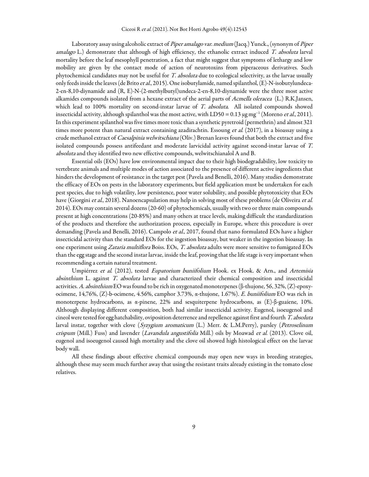Laboratory assay using alcoholic extract of Piper amalago var. medium (Jacq.) Yunck., (synonym of Piper amalago L.) demonstrate that although of high efficiency, the ethanolic extract induced T. absoluta larval mortality before the leaf mesophyll penetration, a fact that might suggest that symptoms of lethargy and low mobility are given by the contact mode of action of neurotoxins from piperaceous derivatives. Such phytochemical candidates may not be useful for T. absoluta due to ecological selectivity, as the larvae usually only feeds inside the leaves (de Brito *et al.*, 2015). One isobutylamide, named spilanthol, (E)-N-isobutylundeca-2-en-8,10-diynamide and (R, E)-N-(2-methylbutyl)undeca-2-en-8,10-diynamide were the three most active alkamides compounds isolated from a hexane extract of the aerial parts of Acmella oleracea (L.) R.K.Jansen, which lead to 100% mortality on second-instar larvae of T. absoluta. All isolated compounds showed insecticidal activity, although spilanthol was the most active, with LD50 = 0.13 µg mg<sup>−1</sup> (Moreno *et al.*, 2011). In this experiment spilanthol was five times more toxic than a synthetic pyretroid (permethrin) and almost 321 times more potent than natural extract containing azadirachtin. Essoung et al. (2017), in a bioassay using a crude methanol extract of *Caesalpinia welwitschiana* (Oliv.) Brenan leaves found that both the extract and five isolated compounds possess antifeedant and moderate larvicidal activity against second-instar larvae of T. absoluta and they identified two new effective compounds, welwitschianalol A and B.

Essential oils (EOs) have low environmental impact due to their high biodegradability, low toxicity to vertebrate animals and multiple modes of action associated to the presence of different active ingredients that hinders the development of resistance in the target pest (Pavela and Benelli, 2016). Many studies demonstrate the efficacy of EOs on pests in the laboratory experiments, but field application must be undertaken for each pest species, due to high volatility, low persistence, poor water solubility, and possible phytotoxicity that EOs have (Giorgini et al., 2018). Nanoencapsulation may help in solving most of these problems (de Oliveira et al. 2014). EOs may contain several dozens (20-60) of phytochemicals, usually with two or three main compounds present at high concentrations (20-85%) and many others at trace levels, making difficult the standardization of the products and therefore the authorization process, especially in Europe, where this procedure is over demanding (Pavela and Benelli, 2016). Campolo et al., 2017, found that nano formulated EOs have a higher insecticidal activity than the standard EOs for the ingestion bioassay, but weaker in the ingestion bioassay. In one experiment using Zataria multiflora Boiss. EOs, T. absoluta adults were more sensitive to fumigated EOs than the egg stage and the second instar larvae, inside the leaf, proving that the life stage is very important when recommending a certain natural treatment.

Umpiérrez et al. (2012), tested Eupatorium buniifolium Hook. ex Hook. & Arn., and Artemisia absinthium L. against T. absoluta larvae and characterized their chemical composition and insecticidal activities. A. absinthium EO was found to be rich in oxygenated monoterpenes (β-thujone, 56, 32%, (Z)-epoxyocimene, 14,76%, (Z)-b-ocimene, 4.56%, camphor 3.73%, α-thujone, 1.67%). E. buniifolium EO was rich in monoterpene hydrocarbons, as α-pinene, 22% and sesquiterpene hydrocarbons, as (E)-β-guaiene, 10%. Although displaying different composition, both had similar insecticidal activity. Eugenol, isoeugenol and cineol were tested for egg hatchability, oviposition deterrence and repellence against first and fourth T. absoluta larval instar, together with clove (Syzygium aromaticum (L.) Merr. & L.M.Perry), parsley (Petroselinum crispum (Mill.) Fuss) and lavender (Lavandula angustifolia Mill.) oils by Moawad et al. (2013). Clove oil, eugenol and isoeugenol caused high mortality and the clove oil showed high histological effect on the larvae body wall.

All these findings about effective chemical compounds may open new ways in breeding strategies, although these may seem much further away that using the resistant traits already existing in the tomato close relatives.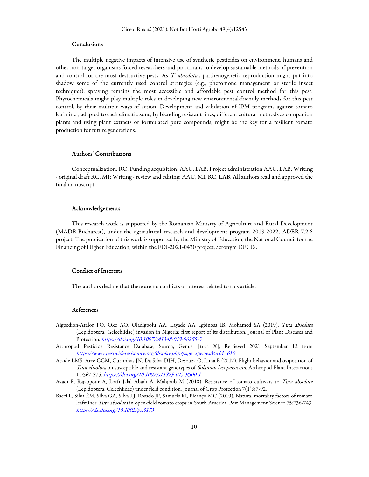# Conclusions

The multiple negative impacts of intensive use of synthetic pesticides on environment, humans and other non-target organisms forced researchers and practicians to develop sustainable methods of prevention and control for the most destructive pests. As T. absoluta's parthenogenetic reproduction might put into shadow some of the currently used control strategies (e.g., pheromone management or sterile insect techniques), spraying remains the most accessible and affordable pest control method for this pest. Phytochemicals might play multiple roles in developing new environmental-friendly methods for this pest control, by their multiple ways of action. Development and validation of IPM programs against tomato leafminer, adapted to each climatic zone, by blending resistant lines, different cultural methods as companion plants and using plant extracts or formulated pure compounds, might be the key for a resilient tomato production for future generations.

#### Authors' Contributions

Conceptualization: RC; Funding acquisition: AAU, LAB; Project administration AAU, LAB; Writing - original draft RC, MI; Writing - review and editing: AAU, MI, RC, LAB. All authors read and approved the final manuscript.

### Acknowledgements

This research work is supported by the Romanian Ministry of Agriculture and Rural Development (MADR-Bucharest), under the agricultural research and development program 2019-2022, ADER 7.2.6 project. The publication of this work is supported by the Ministry of Education, the National Council for the Financing of Higher Education, within the FDI-2021-0430 project, acronym DECIS.

#### Conflict of Interests

The authors declare that there are no conflicts of interest related to this article.

#### References

- Aigbedion-Atalor PO, Oke AO, Oladigbolu AA, Layade AA, Igbinosa IB, Mohamed SA (2019). Tuta absoluta (Lepidoptera: Gelechiidae) invasion in Nigeria: first report of its distribution. Journal of Plant Diseases and Protection. https://doi.org/10.1007/s41348-019-00255-3
- Arthropod Pesticide Resistance Database, Search, Genus: [tuta X], Retrieved 2021 September 12 from https://www.pesticideresistance.org/display.php?page=species&arId=610
- Ataide LMS, Arce CCM, Curtinhas JN, Da Silva DJH, Desouza O, Lima E (2017). Flight behavior and oviposition of Tuta absoluta on susceptible and resistant genotypes of Solanum lycopersicum. Arthropod-Plant Interactions 11:567-575. https://doi.org/10.1007/s11829-017-9500-1
- Azadi F, Rajabpour A, Lotfi Jalal Abadi A, Mahjoub M (2018). Resistance of tomato cultivars to Tuta absoluta (Lepidoptera: Gelechiidae) under field condition. Journal of Crop Protection 7(1):87-92.
- Bacci L, Silva ÉM, Silva GA, Silva LJ, Rosado JF, Samuels RI, Picanço MC (2019). Natural mortality factors of tomato leafminer Tuta absoluta in open-field tomato crops in South America. Pest Management Science 75:736-743, https://dx.doi.org/10.1002/ps.5173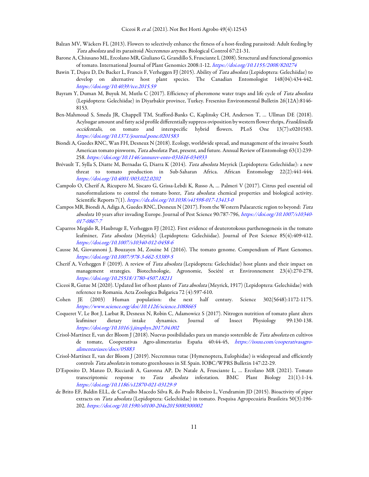- Balzan MV, Wäckers FL (2013). Flowers to selectively enhance the fitness of a host-feeding parasitoid: Adult feeding by Tuta absoluta and its parasitoid Necremnus artynes. Biological Control 67:21-31.
- Barone A, Chiusano ML, Ercolano MR, Giuliano G, Grandillo S, Frusciante L (2008). Structural and functional genomics of tomato. International Journal of Plant Genomics 2008:1-12. https://doi.org/10.1155/2008/820274
- Bawin T, Dujeu D, De Backer L, Francis F, Verheggen FJ (2015). Ability of Tuta absoluta (Lepidoptera: Gelechiidae) to develop on alternative host plant species. The Canadian Entomologist 148(04):434-442. https://doi.org/10.4039/tce.2015.59
- Bayram Y, Duman M, Buyuk M, Mutlu C (2017). Efficiency of pheromone water traps and life cycle of Tuta absoluta (Lepidoptera: Gelechiidae) in Diyarbakir province, Turkey. Fresenius Environmental Bulletin 26(12A):8146- 8153.
- Ben-Mahmoud S, Smeda JR, Chappell TM, Stafford-Banks C, Kaplinsky CH, Anderson T, … Ullman DE (2018). Acylsugar amount and fatty acid profile differentially suppress oviposition by western flower thrips, Frankliniella occidentalis, on tomato and interspecific hybrid flowers. PLoS One 13(7):e0201583. https://doi.org/10.1371/journal.pone.0201583
- Biondi A, Guedes RNC, Wan FH, Desneux N (2018). Ecology, worldwide spread, and management of the invasive South American tomato pinworm, Tuta absoluta: Past, present, and future. Annual Review of Entomology 63(1):239-258. https://doi.org/10.1146/annurev-ento-031616-034933
- Brévault T, Sylla S, Diatte M, Bernadas G, Diarra K (2014). Tuta absoluta Meyrick (Lepidoptera: Gelechiidae): a new threat to tomato production in Sub-Saharan Africa. African Entomology 22(2):441-444. https://doi.org/10.4001/003.022.0202
- Campolo O, Cherif A, Ricupero M, Siscaro G, Grissa-Lebdi K, Russo A, … Palmeri V (2017). Citrus peel essential oil nanoformulations to control the tomato borer, Tuta absoluta: chemical properties and biological activity. Scientific Reports 7(1). https://dx.doi.org/10.1038/s41598-017-13413-0
- Campos MR, Biondi A, Adiga A, Guedes RNC, Desneux N (2017). From the Western Palaearctic region to beyond: Tuta absoluta 10 years after invading Europe. Journal of Pest Science 90:787-796, https://doi.org/10.1007/s10340- 017-0867-7
- Caparros Megido R, Haubruge E, Verheggen FJ (2012). First evidence of deuterotokous parthenogenesis in the tomato leafminer, Tuta absoluta (Meyrick) (Lepidoptera: Gelechiidae). Journal of Pest Science 85(4):409-412. https://doi.org/10.1007/s10340-012-0458-6
- Causse M, Giovannoni J, Bouzayen M, Zouine M (2016). The tomato genome. Compendium of Plant Genomes. https://doi.org/10.1007/978-3-662-53389-5
- Cherif A, Verheggen F (2019). A review of Tuta absoluta (Lepidoptera: Gelechiidae) host plants and their impact on management strategies. Biotechnologie, Agronomie, Société et Environnement 23(4):270-278, https://doi.org/10.25518/1780-4507.18211
- Ciceoi R, Gutue M (2020). Updated list of host plants of Tuta absoluta (Meyrick, 1917) (Lepidoptera: Gelechiidae) with reference to Romania. Acta Zoologica Bulgarica 72 (4):597-610.
- Cohen JE (2003) Human population: the next half century. Science 302(5648):1172-1175. https://www.science.org/doi/10.1126/science.1088665
- Coqueret V, Le Bot J, Larbat R, Desneux N, Robin C, Adamowicz S (2017). Nitrogen nutrition of tomato plant alters leafminer dietary intake dynamics. Journal of Insect Physiology 99:130-138. https://doi.org/10.1016/j.jinsphys.2017.04.002
- Crisol-Martínez E, van der Bloom J (2018). Nuevas posibilidades para un manejo sostenible de Tuta absoluta en cultivos de tomate, Cooperativas Agro-alimentarias España 40:44-45, https://issuu.com/cooperativasagroalimentariases/docs/05883
- Crisol-Martínez E, van der Bloom J (2019). Necremnus tutae (Hymenoptera, Eulophidae) is widespread and efficiently controls Tuta absoluta in tomato greenhouses in SE Spain. IOBC/WPRS Bulletin 147:22-29.
- D'Esposito D, Manzo D, Ricciardi A, Garonna AP, De Natale A, Frusciante L, … Ercolano MR (2021). Tomato transcriptomic response to Tuta absoluta infestation. BMC Plant Biology 21(1):1-14. https://doi.org/10.1186/s12870-021-03129-9
- de Brito EF, Baldin ELL, de Carvalho Macedo Silva R, do Prado Ribeiro L, Vendramim JD (2015). Bioactivity of piper extracts on Tuta absoluta (Lepidoptera: Gelechiidae) in tomato. Pesquisa Agropecuária Brasileira 50(3):196-202. https://doi.org/10.1590/s0100-204x2015000300002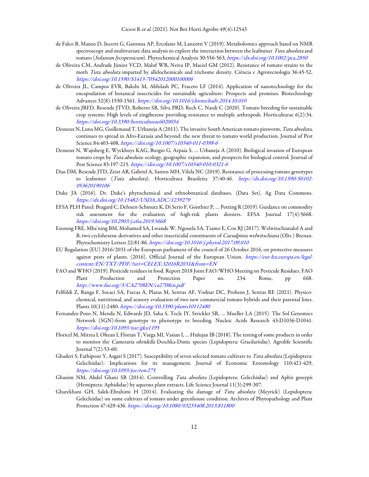- de Falco B, Manzo D, Incerti G, Garonna AP, Ercolano M, Lanzotti V (2019). Metabolomics approach based on NMR spectroscopy and multivariate data analysis to explore the interaction between the leafminer Tuta absoluta and tomato (Solanum lycopersicum). Phytochemical Analysis 30:556-563, https://dx.doi.org/10.1002/pca.2850
- de Oliveira CM, Andrade Júnior VCD, Maluf WR, Neiva IP, Maciel GM (2012). Resistance of tomato strains to the moth Tuta absoluta imparted by allelochemicals and trichome density. Ciência e Agrotecnologia 36:45-52. https://doi.org/10.1590/S1413-70542012000100006
- de Oliveira JL, Campos EVR, Bakshi M, Abhilash PC, Fraceto LF (2014). Application of nanotechnology for the encapsulation of botanical insecticides for sustainable agriculture: Prospects and promises. Biotechnology Advances 32(8):1550-1561. https://doi.org/10.1016/j.biotechadv.2014.10.010
- de Oliveira JRFD, Resende JTVD, Roberto SR, Silva PRD, Rech C, Nardi C (2020). Tomato breeding for sustainable crop systems: High levels of zingiberene providing resistance to multiple arthropods. Horticulturae 6(2):34. https://doi.org/10.3390/horticulturae6020034
- Desneux N, Luna MG, Guillemaud T, Urbaneja A (2011). The invasive South American tomato pinworm, Tuta absoluta, continues to spread in Afro-Eurasia and beyond: the new threat to tomato world production. Journal of Pest Science 84:403-408, https://doi.org/10.1007/s10340-011-0398-6
- Desneux N, Wajnberg E, Wyckhuys KAG, Burgio G, Arpaia S, … Urbaneja A (2010). Biological invasion of European tomato crops by Tuta absoluta: ecology, geographic expansion, and prospects for biological control. Journal of Pest Science 83:197-215. https://doi.org/10.1007/s10340-010-0321-6
- Dias DM, Resende JTD, Zeist AR, Gabriel A, Santos MH, Vilela NC (2019). Resistance of processing tomato genotypes to leafminer (Tuta absoluta). Horticultura Brasileira 37:40-46. http://dx.doi.org/10.1590/S0102- 053620190106
- Duke JA (2016). Dr. Duke's phytochemical and ethnobotanical databases. (Data Set). Ag Data Commons. https://dx.doi.org/10.15482/USDA.ADC/1239279
- EFSA PLH Panel: Bragard C, Dehnen-Schmutz K, Di Serio F, Gonthier P, … Potting R (2019). Guidance on commodity risk assessment for the evaluation of high-risk plants dossiers. EFSA Journal 17(4):5668. https://doi.org/10.2903/j.efsa.2019.5668
- Essoung FRE, Mba'ning BM, Mohamed SA, Lwande W, Ngouela SA, Tsamo E, Cox RJ (2017). Welwitschianalol A and B, two cyclohexene derivatives and other insecticidal constituents of Caesalpinia welwitschiana (Oliv.) Brenan. Phytochemistry Letters 22:81-86. https://doi.org/10.1016/j.phytol.2017.09.010
- EU Regulation (EU) 2016/2031 of the European parliament of the council of 26 October 2016, on protective measures against pests of plants. (2016). Official Journal of the European Union. https://eur-lex.europa.eu/legalcontent/EN/TXT/PDF/?uri=CELEX:32016R2031&from=EN
- FAO and WHO (2019). Pesticide residues in food. Report 2018 Joint FAO/WHO Meeting on Pesticide Residues. FAO Plant Production and Protection Paper no. 234. Rome, pp 668. http://www.fao.org/3/CA2708EN/ca2708en.pdf
- Felföldi Z, Ranga F, Socaci SA, Farcas A, Plazas M, Sestras AF, Vodnar DC, Prohens J, Sestras RE (2021). Physicochemical, nutritional, and sensory evaluation of two new commercial tomato hybrids and their parental lines. Plants 10(11):2480. https://doi.org/10.3390/plants10112480
- Fernandez-Pozo N, Menda N, Edwards JD, Saha S, Tecle IY, Strickler SR, … Mueller LA (2015). The Sol Genomics Network (SGN)-from genotype to phenotype to breeding. Nucleic Acids Research 43:D1036-D1041. https://doi.org/10.1093/nar/gku1195
- Floricel M, Mitrea I, Oltean I, Florian T, Varga MI, Vasian I, … Hulujan IB (2018). The testing of some products in order to monitor the Cameraria ohridella Deschka-Dimic species (Lepidoptera: Gracilariidae). Agrolife Scientific Journal 7(2):53-60.
- Ghaderi S, Fathipour Y, Asgari S (2017). Susceptibility of seven selected tomato cultivars to Tuta absoluta (Lepidoptera: Gelechiidae): Implications for its management. Journal of Economic Entomology 110:421-429, https://doi.org/10.1093/jee/tow275
- Ghanim NM, Abdel Ghani SB (2014). Controlling Tuta absoluta (Lepidoptera: Gelechiidae) and Aphis gossypii (Hemiptera: Aphididae) by aqueous plant extracts. Life Science Journal 11(3):299-307.
- Gharekhani GH, Salek-Ebrahimi H (2014). Evaluating the damage of Tuta absoluta (Meyrick) (Lepidoptera: Gelechiidae) on some cultivars of tomato under greenhouse condition. Archives of Phytopathology and Plant Protection 47:429-436. https://doi.org/10.1080/03235408.2013.811800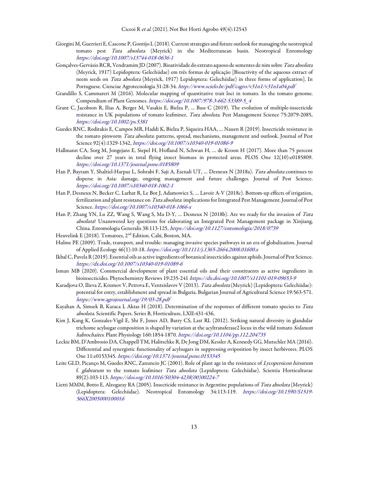- Giorgini M, Guerrieri E, Cascone P, Gontijo L (2018). Current strategies and future outlook for managing the neotropical tomato pest Tuta absoluta (Meyrick) in the Mediterranean basin. Neotropical Entomology https://doi.org/10.1007/s13744-018-0636-1
- Gonçalves-Gervásio RCR, Vendramim JD (2007). Bioatividade do extrato aquoso de sementes de nim sobre Tuta absoluta (Meyrick, 1917) Lepidoptera: Gelechiidae) em três formas de aplicação [Bioactivity of the aqueous extract of neem seeds on Tuta absoluta (Meyrick, 1917) Lepidoptera: Gelechiidae) in three forms of application]. In Portuguese. Cienciae Agrotecnologia 31:28-34. http://www.scielo.br/pdf/cagro/v31n1/v31n1a04.pdf
- Grandillo S, Cammareri M (2016). Molecular mapping of quantitative trait loci in tomato. In the tomato genome. Compendium of Plant Genomes. https://doi.org/10.1007/978-3-662-53389-5\_4
- Grant C, Jacobson R, Ilias A, Berger M, Vasakis E, Bielza P, … Bass C (2019). The evolution of multiple-insecticide resistance in UK populations of tomato leafminer, Tuta absoluta. Pest Management Science 75:2079-2085, https://doi.org/10.1002/ps.5381
- Guedes RNC, Roditakis E, Campos MR, Haddi K, Bielza P, Siqueira HAA, … Nauen R (2019). Insecticide resistance in the tomato pinworm Tuta absoluta: patterns, spread, mechanisms, management and outlook. Journal of Pest Science 92(4):1329-1342, https://doi.org/10.1007/s10340-019-01086-9
- Hallmann CA, Sorg M, Jongejans E, Siepel H, Hofland N, Schwan H, … de Kroon H (2017). More than 75 percent decline over 27 years in total flying insect biomass in protected areas. PLOS One 12(10):e0185809. https://doi.org/10.1371/journal.pone.0185809
- Han P, Bayram Y, Shaltiel-Harpaz L, Sohrabi F, Saji A, Esenali UT, … Desneux N (2018a). Tuta absoluta continues to disperse in Asia: damage, ongoing management and future challenges. Journal of Pest Science. https://doi.org/10.1007/s10340-018-1062-1
- Han P, Desneux N, Becker C, Larbat R, Le Bot J, Adamowicz S, … Lavoir A-V (2018c). Bottom-up effects of irrigation, fertilization and plant resistance on Tuta absoluta: implications for Integrated Pest Management. Journal of Pest Science. https://doi.org/10.1007/s10340-018-1066-x
- Han P, Zhang YN, Lu ZZ, Wang S, Wang S, Ma D-Y, … Desneux N (2018b). Are we ready for the invasion of Tuta absoluta? Unanswered key questions for elaborating an Integrated Pest Management package in Xinjiang, China. Entomologia Generalis 38:113-125, https://doi.org/10.1127/entomologia/2018/0739
- Heuvelink E (2018). Tomatoes, 2nd Edition. Cabi, Boston, MA.
- Hulme PE (2009). Trade, transport, and trouble: managing invasive species pathways in an era of globalization. Journal of Applied Ecology 46(1):10-18. https://doi.org/10.1111/j.1365-2664.2008.01600.x
- Ikbal C, Pavela R (2019). Essential oils as active ingredients of botanical insecticides against aphids. Journal of Pest Science. https://dx.doi.org/10.1007/s10340-019-01089-6
- Isman MB (2020). Commercial development of plant essential oils and their constituents as active ingredients in bioinsecticides. Phytochemistry Reviews 19:235-241 https://dx.doi.org/10.1007/s11101-019-09653-9
- Karadjova O, Ilieva Z, Krumov V, Petrova E, Ventsislavov V (2013). Tuta absoluta (Meyrick) (Lepidoptera: Gelechiidae): potential for entry, establishment and spread in Bulgaria. Bulgarian Journal of Agricultural Science 19:563-571. https://www.agrojournal.org/19/03-28.pdf
- Kayahan A, Simsek B, Karaca I, Aktas H (2018). Determination of the responses of different tomato species to Tuta absoluta. Scientific Papers. Series B, Horticulture, LXII:431-436,
- Kim J, Kang K, Gonzales-Vigil E, Shi F, Jones AD, Barry CS, Last RL (2012). Striking natural diversity in glandular trichome acylsugar composition is shaped by variation at the acyltransferase2 locus in the wild tomato Solanum habrochaites. Plant Physiology 160:1854-1870. https://doi.org/10.1104/pp.112.204735
- Leckie BM, D'Ambrosio DA, Chappell TM, Halitschke R, De Jong DM, Kessler A, Kennedy GG, Mutschler MA (2016). Differential and synergistic functionality of acylsugars in suppressing oviposition by insect herbivores. PLOS One 11:e0153345. https://doi.org/10.1371/journal.pone.0153345
- Leite GLD, Picanço M, Guedes RNC, Zanuncio JC (2001). Role of plant age in the resistance of Lycopersicon hirsutum f. glabratum to the tomato leafminer Tuta absoluta (Lepidoptera: Gelechiidae). Scientia Horticulturae 89(2):103-113. https://doi.org/10.1016/S0304-4238(00)00224-7
- Lietti MMM, Botto E, Alzogaray RA (2005). Insecticide resistance in Argentine populations of Tuta absoluta (Meyrick) (Lepidoptera: Gelechiidae). Neotropical Entomology 34:113-119. https://doi.org/10.1590/S1519- 566X2005000100016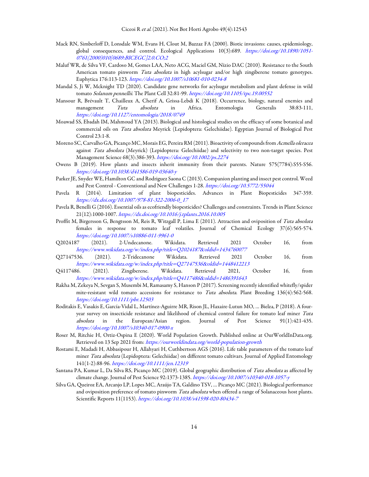- Mack RN, Simberloff D, Lonsdale WM, Evans H, Clout M, Bazzaz FA (2000). Biotic invasions: causes, epidemiology, global consequences, and control. Ecological Applications 10(3):689. https://doi.org/10.1890/1051- 0761(2000)010[0689:BICEGC]2.0.CO;2
- Maluf WR, de Silva VF, Cardoso M, Gomes LAA, Neto ACG, Maciel GM, Nízio DAC (2010). Resistance to the South American tomato pinworm Tuta absoluta in high acylsugar and/or high zingiberene tomato genotypes. Euphytica 176:113-123. https://doi.org/10.1007/s10681-010-0234-8
- Mandal S, Ji W, Mcknight TD (2020). Candidate gene networks for acylsugar metabolism and plant defense in wild tomato Solanum pennellii. The Plant Cell 32:81-99. https://doi.org/10.1105/tpc.19.00552
- Mansour R, Brévault T, Chailleux A, Cherif A, Grissa-Lebdi K (2018). Occurrence, biology, natural enemies and management Tuta absoluta in Africa. Entomologia Generalis 38:83-111, https://doi.org/10.1127/entomologia/2018/0749
- Moawad SS, Ebadah IM, Mahmoud YA (2013). Biological and histological studies on the efficacy of some botanical and commercial oils on Tuta absoluta Meyrick (Lepidoptera: Gelechiidae). Egyptian Journal of Biological Pest Control 23:1-8.
- Moreno SC, Carvalho GA, Picanço MC, Morais EG, Pereira RM (2011). Bioactivity of compounds from Acmella oleracea against Tuta absoluta (Meyrick) (Lepidoptera: Gelechiidae) and selectivity to two non-target species. Pest Management Science 68(3):386-393. https://doi.org/10.1002/ps.2274
- Owens B (2019). How plants and insects inherit immunity from their parents. Nature 575(7784):S55-S56. https://doi.org/10.1038/d41586-019-03640-y
- Parker JE, Snyder WE, Hamilton GC and Rodriguez Saona C (2013). Companion planting and insect pest control. Weed and Pest Control - Conventional and New Challenges 1-28. https://doi.org/10.5772/55044
- Pavela R (2014). Limitation of plant biopesticides. Advances in Plant Biopesticides 347-359. https://dx.doi.org/10.1007/978-81-322-2006-0\_17
- Pavela R, Benelli G (2016). Essential oils as ecofriendly biopesticides? Challenges and constraints. Trends in Plant Science 21(12):1000-1007. https://dx.doi.org/10.1016/j.tplants.2016.10.005
- Proffit M, Birgersson G, Bengtsson M, Reis R, Witzgall P, Lima E (2011). Attraction and oviposition of Tuta absoluta females in response to tomato leaf volatiles. Journal of Chemical Ecology 37(6):565-574. https://doi.org/10.1007/s10886-011-9961-0
- Q2024187 (2021). 2-Undecanone. Wikidata. Retrieved 2021 October 16, from https://www.wikidata.org/w/index.php?title=Q2024187&oldid=1434760077
- Q27147536. (2021). 2-Tridecanone Wikidata. Retrieved 2021 October 16, from https://www.wikidata.org/w/index.php?title=Q27147536&oldid=1448412213
- Q4117486. (2021). Zingiberene. Wikidata. Retrieved 2021, October 16, from https://www.wikidata.org/w/index.php?title=Q4117486&oldid=1486391643
- Rakha M, Zekeya N, Sevgan S, Musembi M, Ramasamy S, Hanson P (2017). Screening recently identified whitefly/spider mite-resistant wild tomato accessions for resistance to Tuta absoluta. Plant Breeding 136(4):562-568. https://doi.org/10.1111/pbr.12503
- Roditakis E, Vasakis E, García-Vidal L, Martínez-Aguirre MR, Rison JL, Haxaire-Lutun MO, … Bielza, P (2018). A fouryear survey on insecticide resistance and likelihood of chemical control failure for tomato leaf miner Tuta absoluta in the European/Asian region. Journal of Pest Science 91(1):421-435. https://doi.org/10.1007/s10340-017-0900-x
- Roser M, Ritchie H, Ortiz-Ospina E (2020). World Population Growth. Published online at OurWorldInData.org. Retrieved on 13 Sep 2021 from: https://ourworldindata.org/world-population-growth
- Rostami E, Madadi H, Abbasipour H, Allahyari H, Cuthbertson AGS (2016). Life table parameters of the tomato leaf miner Tuta absoluta (Lepidoptera: Gelechiidae) on different tomato cultivars. Journal of Applied Entomology 141(1-2):88-96. https://doi.org/10.1111/jen.12319
- Santana PA, Kumar L, Da Silva RS, Picanço MC (2019). Global geographic distribution of Tuta absoluta as affected by climate change. Journal of Pest Science 92:1373-1385. https://doi.org/10.1007/s10340-018-1057-y
- Silva GA, Queiroz EA, Arcanjo LP, Lopes MC, Araújo TA, Galdino TSV, … Picanço MC (2021). Biological performance and oviposition preference of tomato pinworm Tuta absoluta when offered a range of Solanaceous host plants. Scientific Reports 11(1153). https://doi.org/10.1038/s41598-020-80434-7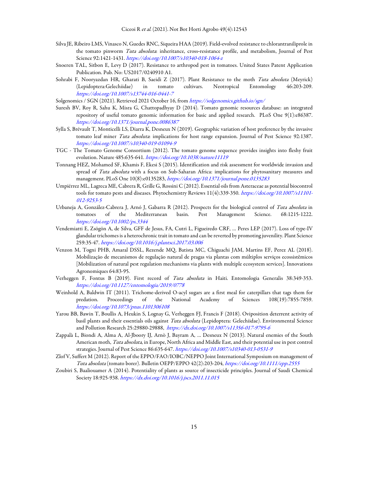- Silva JE, Ribeiro LMS, Vinasco N, Guedes RNC, Siqueira HAA (2019). Field‑evolved resistance to chlorantraniliprole in the tomato pinworm Tuta absoluta: inheritance, cross-resistance profile, and metabolism, Journal of Pest Science 92:1421-1431. https://doi.org/10.1007/s10340-018-1064-z
- Snoeren TAL, Sitbon E, Levy D (2017). Resistance to arthropod pest in tomatoes. United States Patent Application Publication. Pub. No: US2017/0240910 A1.
- Sohrabi F, Nooryazdan HR, Gharati B, Saeidi Z (2017). Plant Resistance to the moth Tuta absoluta (Meyrick) (Lepidoptera:Gelechiidae) in tomato cultivars. Neotropical Entomology 46:203-209. https://doi.org/10.1007/s13744-016-0441-7
- Solgenomics / SGN (2021). Retrieved 2021 October 16, from https://solgenomics.github.io/sgn/
- Suresh BV, Roy R, Sahu K, Misra G, Chattopadhyay D (2014). Tomato genomic resources database: an integrated repository of useful tomato genomic information for basic and applied research. PLoS One 9(1):e86387. https://doi.org/10.1371/journal.pone.0086387
- Sylla S, Brévault T, Monticelli LS, Diarra K, Desneux N (2019). Geographic variation of host preference by the invasive tomato leaf miner Tuta absoluta: implications for host range expansion. Journal of Pest Science 92:1387. https://doi.org/10.1007/s10340-019-01094-9
- TGC The Tomato Genome Consortium (2012). The tomato genome sequence provides insights into fleshy fruit evolution. Nature 485:635-641. https://doi.org/10.1038/nature11119
- Tonnang HEZ, Mohamed SF, Khamis F, Ekesi S (2015). Identification and risk assessment for worldwide invasion and spread of Tuta absoluta with a focus on Sub-Saharan Africa: implications for phytosanitary measures and management. PLoS One 10(8):e0135283, https://doi.org/10.1371/journal.pone.0135283
- Umpiérrez ML, Lagreca ME, Cabrera R, Grille G, Rossini C (2012). Essential oils from Asteraceae as potential biocontrol tools for tomato pests and diseases. Phytochemistry Reviews 11(4):339-350. https://doi.org/10.1007/s11101-012-9253-5
- Urbaneja A, González-Cabrera J, Arnó J, Gabarra R (2012). Prospects for the biological control of Tuta absoluta in tomatoes of the Mediterranean basin. Pest Management Science. 68:1215-1222. https://doi.org/10.1002/ps.3344
- Vendemiatti E, Zsögön A, de Silva, GFF de Jesus, FA, Cutri L, Figueiredo CRF, … Peres LEP (2017). Loss of type-IV glandular trichomes is a heterochronic trait in tomato and can be reverted by promoting juvenility. Plant Science 259:35-47. https://doi.org/10.1016/j.plantsci.2017.03.006
- Venzon M, Togni PHB, Amaral DSSL, Rezende MQ, Batista MC, Chiguachi JAM, Martins EF, Perez AL (2018). Mobilização de mecanismos de regulação natural de pragas via plantas com múltiplos serviços ecossistêmicos [Mobilization of natural pest regulation mechanisms via plants with multiple ecosystem services]. Innovations Agronomiques 64:83-95.
- Verheggen F, Fontus B (2019). First record of Tuta absoluta in Haiti. Entomologia Generalis 38:349-353. https://doi.org/10.1127/entomologia/2019/0778
- Weinhold A, Baldwin IT (2011). Trichome-derived O-acyl sugars are a first meal for caterpillars that tags them for predation. Proceedings of the National Academy of Sciences 108(19):7855-7859. https://doi.org/10.1073/pnas.1101306108
- Yarou BB, Bawin T, Boullis A, Heukin S, Lognay G, Verheggen FJ, Francis F (2018). Oviposition deterrent activity of basil plants and their essentials oils against Tuta absoluta (Lepidoptera: Gelechiidae). Environmental Science and Pollution Research 25:29880-29888, https://dx.doi.org/10.1007/s11356-017-9795-6
- Zappalà L, Biondi A, Alma A, Al-Jboory IJ, Arnò J, Bayram A, … Desneux N (2013). Natural enemies of the South American moth, Tuta absoluta, in Europe, North Africa and Middle East, and their potential use in pest control strategies. Journal of Pest Science 86:635-647. https://doi.org/10.1007/s10340-013-0531-9
- Zlof V, Suffert M (2012). Report of the EPPO/FAO/IOBC/NEPPO Joint International Symposium on management of Tuta absoluta (tomato borer). Bulletin OEPP/EPPO 42(2):203-204, https://doi.org/10.1111/epp.2555
- Zoubiri S, Baaliouamer A (2014). Potentiality of plants as source of insecticide principles. Journal of Saudi Chemical Society 18:925-938. https://dx.doi.org/10.1016/j.jscs.2011.11.015